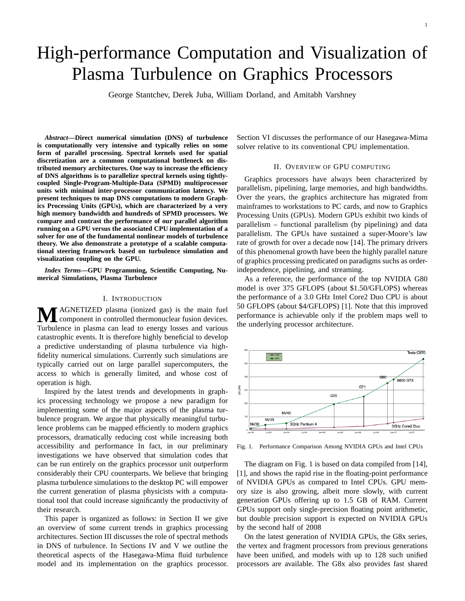# High-performance Computation and Visualization of Plasma Turbulence on Graphics Processors

George Stantchev, Derek Juba, William Dorland, and Amitabh Varshney

*Abstract***—Direct numerical simulation (DNS) of turbulence is computationally very intensive and typically relies on some form of parallel processing. Spectral kernels used for spatial discretization are a common computational bottleneck on distributed memory architectures. One way to increase the efficiency of DNS algorithms is to parallelize spectral kernels using tightlycoupled Single-Program-Multiple-Data (SPMD) multiprocessor units with minimal inter-processor communication latency. We present techniques to map DNS computations to modern Graphics Processing Units (GPUs), which are characterized by a very high memory bandwidth and hundreds of SPMD processors. We compare and contrast the performance of our parallel algorithm running on a GPU versus the associated CPU implementation of a solver for one of the fundamental nonlinear models of turbulence theory. We also demonstrate a prototype of a scalable computational steering framework based on turbulence simulation and visualization coupling on the GPU.**

*Index Terms***—GPU Programming, Scientific Computing, Numerical Simulations, Plasma Turbulence**

### I. INTRODUCTION

**M**AGNETIZED plasma (ionized gas) is the main fuel component in controlled thermonuclear fusion devices. Turbulence in plasma can lead to energy losses and various catastrophic events. It is therefore highly beneficial to develop a predictive understanding of plasma turbulence via highfidelity numerical simulations. Currently such simulations are typically carried out on large parallel supercomputers, the access to which is generally limited, and whose cost of operation is high.

Inspired by the latest trends and developments in graphics processing technology we propose a new paradigm for implementing some of the major aspects of the plasma turbulence program. We argue that physically meaningful turbulence problems can be mapped efficiently to modern graphics processors, dramatically reducing cost while increasing both accessibility and performance In fact, in our preliminary investigations we have observed that simulation codes that can be run entirely on the graphics processor unit outperform considerably their CPU counterparts. We believe that bringing plasma turbulence simulations to the desktop PC will empower the current generation of plasma physicists with a computational tool that could increase significantly the productivity of their research.

This paper is organized as follows: in Section II we give an overview of some current trends in graphics processing architectures. Section III discusses the role of spectral methods in DNS of turbulence. In Sections IV and V we outline the theoretical aspects of the Hasegawa-Mima fluid turbulence model and its implementation on the graphics processor. Section VI discusses the performance of our Hasegawa-Mima solver relative to its conventional CPU implementation.

## II. OVERVIEW OF GPU COMPUTING

Graphics processors have always been characterized by parallelism, pipelining, large memories, and high bandwidths. Over the years, the graphics architecture has migrated from mainframes to workstations to PC cards, and now to Graphics Processing Units (GPUs). Modern GPUs exhibit two kinds of parallelism – functional parallelism (by pipelining) and data parallelism. The GPUs have sustained a super-Moore's law rate of growth for over a decade now [14]. The primary drivers of this phenomenal growth have been the highly parallel nature of graphics processing predicated on paradigms suchs as orderindependence, pipelining, and streaming.

As a reference, the performance of the top NVIDIA G80 model is over 375 GFLOPS (about \$1.50/GFLOPS) whereas the performance of a 3.0 GHz Intel Core2 Duo CPU is about 50 GFLOPS (about \$4/GFLOPS) [1]. Note that this improved performance is achievable only if the problem maps well to the underlying processor architecture.



Fig. 1. Performance Comparison Among NVIDIA GPUs and Intel CPUs

The diagram on Fig. 1 is based on data compiled from [14], [1], and shows the rapid rise in the floating-point performance of NVIDIA GPUs as compared to Intel CPUs. GPU memory size is also growing, albeit more slowly, with current generation GPUs offering up to 1.5 GB of RAM. Current GPUs support only single-precision floating point arithmetic, but double precision support is expected on NVIDIA GPUs by the second half of 2008

On the latest generation of NVIDIA GPUs, the G8x series, the vertex and fragment processors from previous generations have been unified, and models with up to 128 such unified processors are available. The G8x also provides fast shared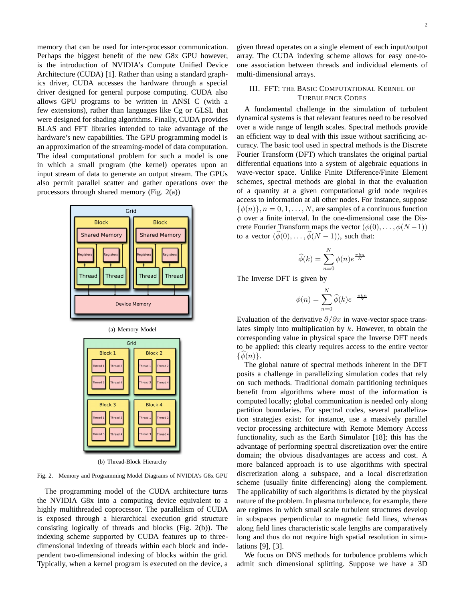memory that can be used for inter-processor communication. Perhaps the biggest benefit of the new G8x GPU however, is the introduction of NVIDIA's Compute Unified Device Architecture (CUDA) [1]. Rather than using a standard graphics driver, CUDA accesses the hardware through a special driver designed for general purpose computing. CUDA also allows GPU programs to be written in ANSI C (with a few extensions), rather than languages like Cg or GLSL that were designed for shading algorithms. Finally, CUDA provides BLAS and FFT libraries intended to take advantage of the hardware's new capabilities. The GPU programming model is an approximation of the streaming-model of data computation. The ideal computational problem for such a model is one in which a small program (the kernel) operates upon an input stream of data to generate an output stream. The GPUs also permit parallel scatter and gather operations over the processors through shared memory (Fig. 2(a))





(b) Thread-Block Hierarchy

Fig. 2. Memory and Programming Model Diagrams of NVIDIA's G8x GPU

The programming model of the CUDA architecture turns the NVIDIA G8x into a computing device equivalent to a highly multithreaded coprocessor. The parallelism of CUDA is exposed through a hierarchical execution grid structure consisting logically of threads and blocks (Fig. 2(b)). The indexing scheme supported by CUDA features up to threedimensional indexing of threads within each block and independent two-dimensional indexing of blocks within the grid. Typically, when a kernel program is executed on the device, a given thread operates on a single element of each input/output array. The CUDA indexing scheme allows for easy one-toone association between threads and individual elements of multi-dimensional arrays.

## III. FFT: THE BASIC COMPUTATIONAL KERNEL OF TURBULENCE CODES

A fundamental challenge in the simulation of turbulent dynamical systems is that relevant features need to be resolved over a wide range of length scales. Spectral methods provide an efficient way to deal with this issue without sacrificing accuracy. The basic tool used in spectral methods is the Discrete Fourier Transform (DFT) which translates the original partial differential equations into a system of algebraic equations in wave-vector space. Unlike Finite Difference/Finite Element schemes, spectral methods are global in that the evaluation of a quantity at a given computational grid node requires access to information at all other nodes. For instance, suppose  $\{\phi(n)\}\,$ ,  $n = 0, 1, \ldots, N$ , are samples of a continuous function  $\phi$  over a finite interval. In the one-dimensional case the Discrete Fourier Transform maps the vector  $(\phi(0), \ldots, \phi(N-1))$ to a vector  $(\hat{\phi}(0), \ldots, \hat{\phi}(N-1))$ , such that:

$$
\widehat{\phi}(k) = \sum_{n=0}^{N} \phi(n) e^{\frac{\pi k n}{N}}
$$

The Inverse DFT is given by

$$
\phi(n) = \sum_{n=0}^{N} \widehat{\phi}(k) e^{-\frac{\pi k n}{N}}
$$

Evaluation of the derivative  $\partial/\partial x$  in wave-vector space translates simply into multiplication by  $k$ . However, to obtain the corresponding value in physical space the Inverse DFT needs to be applied: this clearly requires access to the entire vector  $\{\phi(n)\}.$ 

The global nature of spectral methods inherent in the DFT posits a challenge in parallelizing simulation codes that rely on such methods. Traditional domain partitioning techniques benefit from algorithms where most of the information is computed locally; global communication is needed only along partition boundaries. For spectral codes, several parallelization strategies exist: for instance, use a massively parallel vector processing architecture with Remote Memory Access functionality, such as the Earth Simulator [18]; this has the advantage of performing spectral discretization over the entire domain; the obvious disadvantages are access and cost. A more balanced approach is to use algorithms with spectral discretization along a subspace, and a local discretization scheme (usually finite differencing) along the complement. The applicability of such algorithms is dictated by the physical nature of the problem. In plasma turbulence, for example, there are regimes in which small scale turbulent structures develop in subspaces perpendicular to magnetic field lines, whereas along field lines characteristic scale lengths are comparatively long and thus do not require high spatial resolution in simulations [9], [3].

We focus on DNS methods for turbulence problems which admit such dimensional splitting. Suppose we have a 3D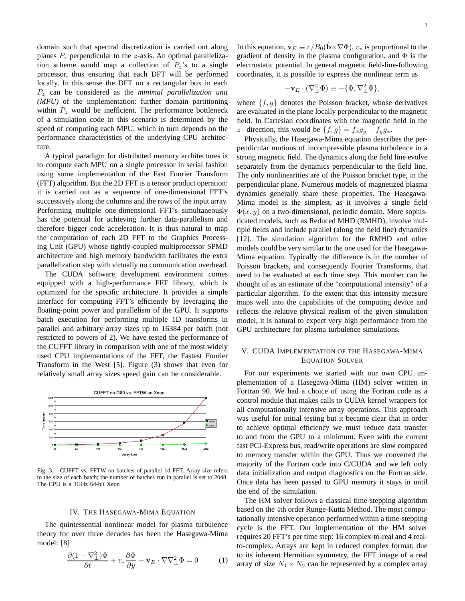domain such that spectral discretization is carried out along planes  $P_z$  perpendicular to the z-axis. An optimal parallelization scheme would map a collection of  $P_z$ 's to a single processor, thus ensuring that each DFT will be performed locally. In this sense the DFT on a rectangular box in each P<sup>z</sup> can be considered as the *minimal parallelization unit (MPU)* of the implementation: further domain partitioning within  $P<sub>z</sub>$  would be inefficient. The performance bottleneck of a simulation code in this scenario is determined by the speed of computing each MPU, which in turn depends on the performance characteristics of the underlying CPU architecture.

A typical paradigm for distributed memory architectures is to compute each MPU on a single processor in serial fashion using some implementation of the Fast Fourier Transform (FFT) algorithm. But the 2D FFT is a tensor product operation: it is carried out as a sequence of one-dimensional FFT's successively along the columns and the rows of the input array. Performing multiple one-dimensional FFT's simultaneously has the potential for achieving further data-parallelism and therefore bigger code acceleration. It is thus natural to map the computation of each 2D FFT to the Graphics Processing Unit (GPU) whose tightly-coupled multiprocessor SPMD architecture and high memory bandwidth facilitates the extra parallelization step with virtually no communication overhead.

The CUDA software development environment comes equipped with a high-performance FFT library, which is optimized for the specific architecture. It provides a simple interface for computing FFT's efficiently by leveraging the floating-point power and parallelism of the GPU. It supports batch execution for performing multiple 1D transforms in parallel and arbitrary array sizes up to 16384 per batch (not restricted to powers of 2). We have tested the performance of the CUFFT library in comparison with one of the most widely used CPU implementations of the FFT, the Fastest Fourier Transform in the West [5]. Figure (3) shows that even for relatively small array sizes speed gain can be considerable.



Fig. 3. CUFFT vs. FFTW on batches of parallel 1d FFT. Array size refers to the size of each batch; the number of batches run in parallel is set to 2048. The CPU is a 3GHz 64-bit Xeon

## IV. THE HASEGAWA-MIMA EQUATION

The quintessential nonlinear model for plasma turbulence theory for over three decades has been the Hasegawa-Mima model: [8]

$$
\frac{\partial (1 - \nabla^2_{\perp}) \Phi}{\partial t} + v_* \frac{\partial \Phi}{\partial y} - \mathbf{v}_E \cdot \nabla \nabla^2_{\perp} \Phi = 0 \tag{1}
$$

In this equation,  $\mathbf{v}_E \equiv c/B_0(\hat{\mathbf{b}} \times \nabla \Phi)$ ,  $v_*$  is proportional to the gradient of density in the plasma configuration, and  $\Phi$  is the electrostatic potential. In general magnetic field-line-following coordinates, it is possible to express the nonlinear term as

$$
-\mathbf{v}_E\cdot(\nabla_\perp^2\Phi)\equiv -\{\Phi,\nabla_\perp^2\Phi\},
$$

where  $\{f, g\}$  denotes the Poisson bracket, whose derivatives are evaluated in the plane locally perpendicular to the magnetic field. In Cartesian coordinates with the magnetic field in the z−direction, this would be  $\{f, g\} = f_x g_y - f_y g_x$ .

Physically, the Hasegawa-Mima equation describes the perpendicular motions of incompressible plasma turbulence in a strong magnetic field. The dynamics along the field line evolve separately from the dynamics perpendicular to the field line. The only nonlinearities are of the Poisson bracket type, in the perpendicular plane. Numerous models of magnetized plasma dynamics generally share these properties. The Hasegawa-Mima model is the simplest, as it involves a single field  $\Phi(x, y)$  on a two-dimensional, periodic domain. More sophisticated models, such as Reduced MHD (RMHD), involve multiple fields and include parallel (along the field line) dynamics [12]. The simulation algorithm for the RMHD and other models could be very similar to the one used for the Hasegawa-Mima equation. Typically the difference is in the number of Poisson brackets, and consequently Fourier Transforms, that need to be evaluated at each time step. This number can be thought of as an estimate of the "computational intensity" of a particular algorithm. To the extent that this intensity measure maps well into the capabilities of the computing device and reflects the relative physical realism of the given simulation model, it is natural to expect very high performance from the GPU architecture for plasma turbulence simulations.

## V. CUDA IMPLEMENTATION OF THE HASEGAWA-MIMA EQUATION SOLVER

For our experiments we started with our own CPU implementation of a Hasegawa-Mima (HM) solver written in Fortran 90. We had a choice of using the Fortran code as a control module that makes calls to CUDA kernel wrappers for all computationally intensive array operations. This approach was useful for initial testing but it became clear that in order to achieve optimal efficiency we must reduce data transfer to and from the GPU to a minimum. Even with the current fast PCI-Express bus, read/write operations are slow compared to memory transfer within the GPU. Thus we converted the majority of the Fortran code into C/CUDA and we left only data initialization and output diagnostics on the Fortran side. Once data has been passed to GPU memory it stays in until the end of the simulation.

The HM solver follows a classical time-stepping algorithm based on the 4th order Runge-Kutta Method. The most computationally intensive operation performed within a time-stepping cycle is the FFT. Our implementation of the HM solver requires 20 FFT's per time step: 16 complex-to-real and 4 realto-complex. Arrays are kept in reduced complex format; due to its inherent Hermitian symmetry, the FFT image of a real array of size  $N_1 \times N_2$  can be represented by a complex array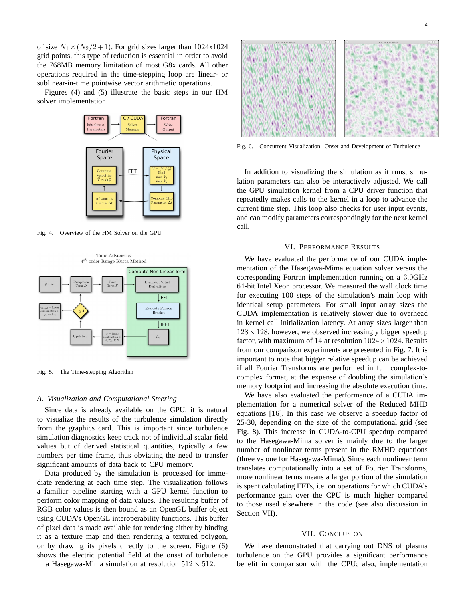of size  $N_1 \times (N_2/2 + 1)$ . For grid sizes larger than 1024x1024 grid points, this type of reduction is essential in order to avoid the 768MB memory limitation of most G8x cards. All other operations required in the time-stepping loop are linear- or sublinear-in-time pointwise vector arithmetic operations.

Figures (4) and (5) illustrate the basic steps in our HM solver implementation.



Fig. 4. Overview of the HM Solver on the GPU



Fig. 5. The Time-stepping Algorithm

#### *A. Visualization and Computational Steering*

Since data is already available on the GPU, it is natural to visualize the results of the turbulence simulation directly from the graphics card. This is important since turbulence simulation diagnostics keep track not of individual scalar field values but of derived statistical quantities, typically a few numbers per time frame, thus obviating the need to transfer significant amounts of data back to CPU memory.

Data produced by the simulation is processed for immediate rendering at each time step. The visualization follows a familiar pipeline starting with a GPU kernel function to perform color mapping of data values. The resulting buffer of RGB color values is then bound as an OpenGL buffer object using CUDA's OpenGL interoperability functions. This buffer of pixel data is made available for rendering either by binding it as a texture map and then rendering a textured polygon, or by drawing its pixels directly to the screen. Figure (6) shows the electric potential field at the onset of turbulence in a Hasegawa-Mima simulation at resolution  $512 \times 512$ .



4

Fig. 6. Concurrent Visualization: Onset and Development of Turbulence

In addition to visualizing the simulation as it runs, simulation parameters can also be interactively adjusted. We call the GPU simulation kernel from a CPU driver function that repeatedly makes calls to the kernel in a loop to advance the current time step. This loop also checks for user input events, and can modify parameters correspondingly for the next kernel call.

### VI. PERFORMANCE RESULTS

We have evaluated the performance of our CUDA implementation of the Hasegawa-Mima equation solver versus the corresponding Fortran implementation running on a 3.0GHz 64-bit Intel Xeon processor. We measured the wall clock time for executing 100 steps of the simulation's main loop with identical setup parameters. For small input array sizes the CUDA implementation is relatively slower due to overhead in kernel call initialization latency. At array sizes larger than  $128 \times 128$ , however, we observed increasingly bigger speedup factor, with maximum of 14 at resolution  $1024 \times 1024$ . Results from our comparison experiments are presented in Fig. 7. It is important to note that bigger relative speedup can be achieved if all Fourier Transforms are performed in full complex-tocomplex format, at the expense of doubling the simulation's memory footprint and increasing the absolute execution time.

We have also evaluated the performance of a CUDA implementation for a numerical solver of the Reduced MHD equations [16]. In this case we observe a speedup factor of 25-30, depending on the size of the computational grid (see Fig. 8). This increase in CUDA-to-CPU speedup compared to the Hasegawa-Mima solver is mainly due to the larger number of nonlinear terms present in the RMHD equations (three vs one for Hasegawa-Mima). Since each nonlinear term translates computationally into a set of Fourier Transforms, more nonlinear terms means a larger portion of the simulation is spent calculating FFTs, i.e. on operations for which CUDA's performance gain over the CPU is much higher compared to those used elsewhere in the code (see also discussion in Section VII).

#### VII. CONCLUSION

We have demonstrated that carrying out DNS of plasma turbulence on the GPU provides a significant performance benefit in comparison with the CPU; also, implementation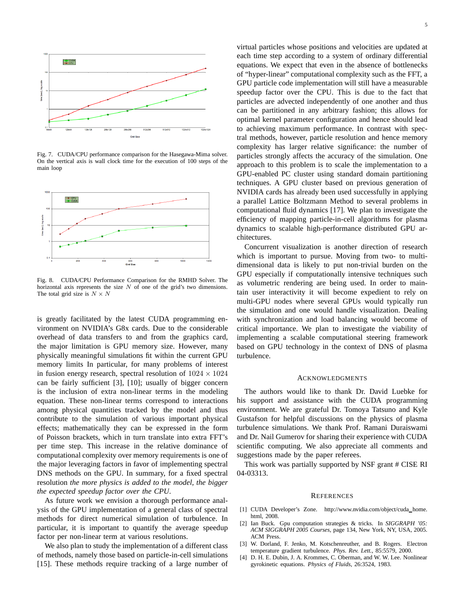

Fig. 7. CUDA/CPU performance comparison for the Hasegawa-Mima solver. On the vertical axis is wall clock time for the execution of 100 steps of the main loop



Fig. 8. CUDA/CPU Performance Comparison for the RMHD Solver. The horizontal axis represents the size  $N$  of one of the grid's two dimensions. The total grid size is  $N \times N$ 

is greatly facilitated by the latest CUDA programming environment on NVIDIA's G8x cards. Due to the considerable overhead of data transfers to and from the graphics card, the major limitation is GPU memory size. However, many physically meaningful simulations fit within the current GPU memory limits In particular, for many problems of interest in fusion energy research, spectral resolution of  $1024 \times 1024$ can be fairly sufficient [3], [10]; usually of bigger concern is the inclusion of extra non-linear terms in the modeling equation. These non-linear terms correspond to interactions among physical quantities tracked by the model and thus contribute to the simulation of various important physical effects; mathematically they can be expressed in the form of Poisson brackets, which in turn translate into extra FFT's per time step. This increase in the relative dominance of computational complexity over memory requirements is one of the major leveraging factors in favor of implementing spectral DNS methods on the GPU. In summary, for a fixed spectral resolution *the more physics is added to the model, the bigger the expected speedup factor over the CPU*.

As future work we envision a thorough performance analysis of the GPU implementation of a general class of spectral methods for direct numerical simulation of turbulence. In particular, it is important to quantify the average speedup factor per non-linear term at various resolutions.

We also plan to study the implementation of a different class of methods, namely those based on particle-in-cell simulations [15]. These methods require tracking of a large number of virtual particles whose positions and velocities are updated at each time step according to a system of ordinary differential equations. We expect that even in the absence of bottlenecks of "hyper-linear" computational complexity such as the FFT, a GPU particle code implementation will still have a measurable speedup factor over the CPU. This is due to the fact that particles are advected independently of one another and thus can be partitioned in any arbitrary fashion; this allows for optimal kernel parameter configuration and hence should lead to achieving maximum performance. In contrast with spectral methods, however, particle resolution and hence memory complexity has larger relative significance: the number of particles strongly affects the accuracy of the simulation. One approach to this problem is to scale the implementation to a GPU-enabled PC cluster using standard domain partitioning techniques. A GPU cluster based on previous generation of NVIDIA cards has already been used successfully in applying a parallel Lattice Boltzmann Method to several problems in computational fluid dynamics [17]. We plan to investigate the efficiency of mapping particle-in-cell algorithms for plasma dynamics to scalable high-performance distributed GPU architectures.

Concurrent visualization is another direction of research which is important to pursue. Moving from two- to multidimensional data is likely to put non-trivial burden on the GPU especially if computationally intensive techniques such as volumetric rendering are being used. In order to maintain user interactivity it will become expedient to rely on multi-GPU nodes where several GPUs would typically run the simulation and one would handle visualization. Dealing with synchronization and load balancing would become of critical importance. We plan to investigate the viability of implementing a scalable computational steering framework based on GPU technology in the context of DNS of plasma turbulence.

#### **ACKNOWLEDGMENTS**

The authors would like to thank Dr. David Luebke for his support and assistance with the CUDA programming environment. We are grateful Dr. Tomoya Tatsuno and Kyle Gustafson for helpful discussions on the physics of plasma turbulence simulations. We thank Prof. Ramani Duraiswami and Dr. Nail Gumerov for sharing their experience with CUDA scientific computing. We also appreciate all comments and suggestions made by the paper referees.

This work was partially supported by NSF grant # CISE RI 04-03313.

#### **REFERENCES**

- [1] CUDA Developer's Zone. http://www.nvidia.com/object/cuda home. html, 2008.
- [2] Ian Buck. Gpu computation strategies & tricks. In *SIGGRAPH '05: ACM SIGGRAPH 2005 Courses*, page 134, New York, NY, USA, 2005. ACM Press.
- [3] W. Dorland, F. Jenko, M. Kotschenreuther, and B. Rogers. Electron temperature gradient turbulence. *Phys. Rev. Lett.*, 85:5579, 2000.
- [4] D. H. E. Dubin, J. A. Krommes, C. Oberman, and W. W. Lee. Nonlinear gyrokinetic equations. *Physics of Fluids*, 26:3524, 1983.